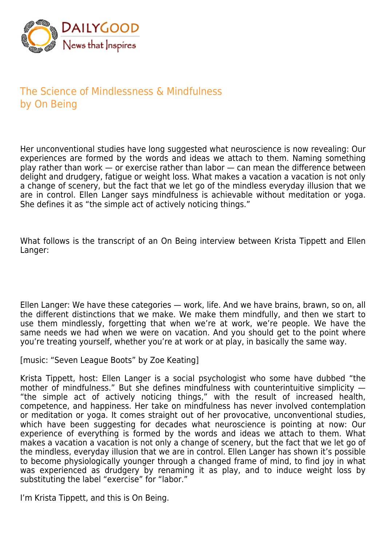

## The Science of Mindlessness & Mindfulness by On Being

Her unconventional studies have long suggested what neuroscience is now revealing: Our experiences are formed by the words and ideas we attach to them. Naming something play rather than work  $-$  or exercise rather than labor  $-$  can mean the difference between delight and drudgery, fatigue or weight loss. What makes a vacation a vacation is not only a change of scenery, but the fact that we let go of the mindless everyday illusion that we are in control. Ellen Langer says mindfulness is achievable without meditation or yoga. She defines it as "the simple act of actively noticing things."

What follows is the transcript of an On Being interview between Krista Tippett and Ellen Langer:

Ellen Langer: We have these categories — work, life. And we have brains, brawn, so on, all the different distinctions that we make. We make them mindfully, and then we start to use them mindlessly, forgetting that when we're at work, we're people. We have the same needs we had when we were on vacation. And you should get to the point where you're treating yourself, whether you're at work or at play, in basically the same way.

[music: "Seven League Boots" by Zoe Keating]

Krista Tippett, host: Ellen Langer is a social psychologist who some have dubbed "the mother of mindfulness." But she defines mindfulness with counterintuitive simplicity -"the simple act of actively noticing things," with the result of increased health, competence, and happiness. Her take on mindfulness has never involved contemplation or meditation or yoga. It comes straight out of her provocative, unconventional studies, which have been suggesting for decades what neuroscience is pointing at now: Our experience of everything is formed by the words and ideas we attach to them. What makes a vacation a vacation is not only a change of scenery, but the fact that we let go of the mindless, everyday illusion that we are in control. Ellen Langer has shown it's possible to become physiologically younger through a changed frame of mind, to find joy in what was experienced as drudgery by renaming it as play, and to induce weight loss by substituting the label "exercise" for "labor."

I'm Krista Tippett, and this is On Being.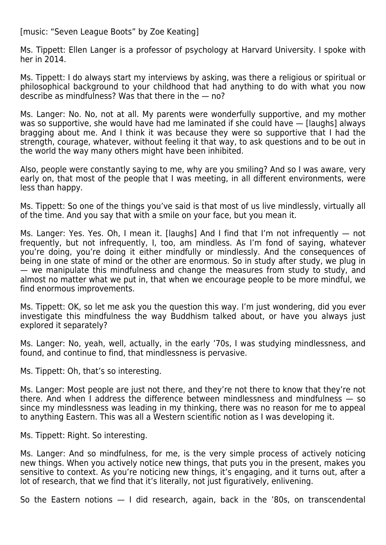[music: "Seven League Boots" by Zoe Keating]

Ms. Tippett: Ellen Langer is a professor of psychology at Harvard University. I spoke with her in 2014.

Ms. Tippett: I do always start my interviews by asking, was there a religious or spiritual or philosophical background to your childhood that had anything to do with what you now describe as mindfulness? Was that there in the — no?

Ms. Langer: No. No, not at all. My parents were wonderfully supportive, and my mother was so supportive, she would have had me laminated if she could have — [laughs] always bragging about me. And I think it was because they were so supportive that I had the strength, courage, whatever, without feeling it that way, to ask questions and to be out in the world the way many others might have been inhibited.

Also, people were constantly saying to me, why are you smiling? And so I was aware, very early on, that most of the people that I was meeting, in all different environments, were less than happy.

Ms. Tippett: So one of the things you've said is that most of us live mindlessly, virtually all of the time. And you say that with a smile on your face, but you mean it.

Ms. Langer: Yes. Yes. Oh, I mean it. [laughs] And I find that I'm not infrequently — not frequently, but not infrequently, I, too, am mindless. As I'm fond of saying, whatever you're doing, you're doing it either mindfully or mindlessly. And the consequences of being in one state of mind or the other are enormous. So in study after study, we plug in — we manipulate this mindfulness and change the measures from study to study, and almost no matter what we put in, that when we encourage people to be more mindful, we find enormous improvements.

Ms. Tippett: OK, so let me ask you the question this way. I'm just wondering, did you ever investigate this mindfulness the way Buddhism talked about, or have you always just explored it separately?

Ms. Langer: No, yeah, well, actually, in the early '70s, I was studying mindlessness, and found, and continue to find, that mindlessness is pervasive.

Ms. Tippett: Oh, that's so interesting.

Ms. Langer: Most people are just not there, and they're not there to know that they're not there. And when I address the difference between mindlessness and mindfulness — so since my mindlessness was leading in my thinking, there was no reason for me to appeal to anything Eastern. This was all a Western scientific notion as I was developing it.

Ms. Tippett: Right. So interesting.

Ms. Langer: And so mindfulness, for me, is the very simple process of actively noticing new things. When you actively notice new things, that puts you in the present, makes you sensitive to context. As you're noticing new things, it's engaging, and it turns out, after a lot of research, that we find that it's literally, not just figuratively, enlivening.

So the Eastern notions — I did research, again, back in the '80s, on transcendental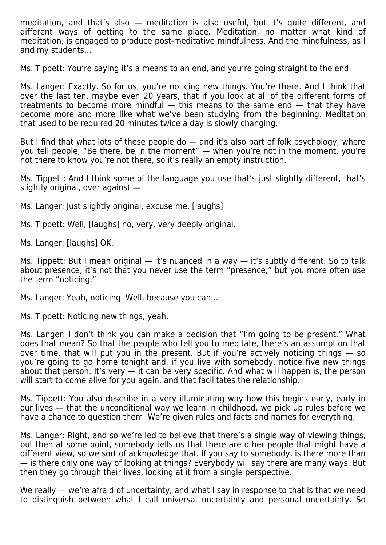meditation, and that's also — meditation is also useful, but it's quite different, and different ways of getting to the same place. Meditation, no matter what kind of meditation, is engaged to produce post-meditative mindfulness. And the mindfulness, as I and my students…

Ms. Tippett: You're saying it's a means to an end, and you're going straight to the end.

Ms. Langer: Exactly. So for us, you're noticing new things. You're there. And I think that over the last ten, maybe even 20 years, that if you look at all of the different forms of treatments to become more mindful  $-$  this means to the same end  $-$  that they have become more and more like what we've been studying from the beginning. Meditation that used to be required 20 minutes twice a day is slowly changing.

But I find that what lots of these people do — and it's also part of folk psychology, where you tell people, "Be there, be in the moment" — when you're not in the moment, you're not there to know you're not there, so it's really an empty instruction.

Ms. Tippett: And I think some of the language you use that's just slightly different, that's slightly original, over against —

Ms. Langer: Just slightly original, excuse me. [laughs]

Ms. Tippett: Well, [laughs] no, very, very deeply original.

Ms. Langer: [laughs] OK.

Ms. Tippett: But I mean original  $-$  it's nuanced in a way  $-$  it's subtly different. So to talk about presence, it's not that you never use the term "presence," but you more often use the term "noticing."

Ms. Langer: Yeah, noticing. Well, because you can…

Ms. Tippett: Noticing new things, yeah.

Ms. Langer: I don't think you can make a decision that "I'm going to be present." What does that mean? So that the people who tell you to meditate, there's an assumption that over time, that will put you in the present. But if you're actively noticing things — so you're going to go home tonight and, if you live with somebody, notice five new things about that person. It's very  $-$  it can be very specific. And what will happen is, the person will start to come alive for you again, and that facilitates the relationship.

Ms. Tippett: You also describe in a very illuminating way how this begins early, early in our lives — that the unconditional way we learn in childhood, we pick up rules before we have a chance to question them. We're given rules and facts and names for everything.

Ms. Langer: Right, and so we're led to believe that there's a single way of viewing things, but then at some point, somebody tells us that there are other people that might have a different view, so we sort of acknowledge that. If you say to somebody, is there more than — is there only one way of looking at things? Everybody will say there are many ways. But then they go through their lives, looking at it from a single perspective.

We really — we're afraid of uncertainty, and what I say in response to that is that we need to distinguish between what I call universal uncertainty and personal uncertainty. So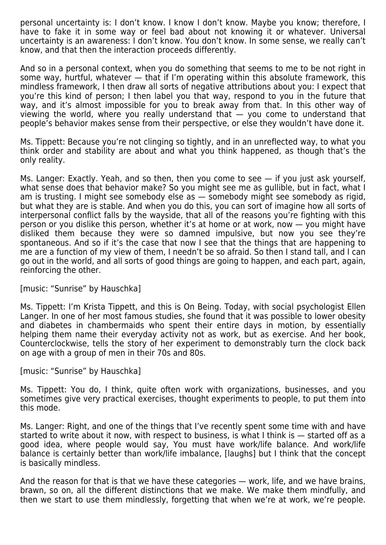personal uncertainty is: I don't know. I know I don't know. Maybe you know; therefore, I have to fake it in some way or feel bad about not knowing it or whatever. Universal uncertainty is an awareness: I don't know. You don't know. In some sense, we really can't know, and that then the interaction proceeds differently.

And so in a personal context, when you do something that seems to me to be not right in some way, hurtful, whatever — that if I'm operating within this absolute framework, this mindless framework, I then draw all sorts of negative attributions about you: I expect that you're this kind of person; I then label you that way, respond to you in the future that way, and it's almost impossible for you to break away from that. In this other way of viewing the world, where you really understand that — you come to understand that people's behavior makes sense from their perspective, or else they wouldn't have done it.

Ms. Tippett: Because you're not clinging so tightly, and in an unreflected way, to what you think order and stability are about and what you think happened, as though that's the only reality.

Ms. Langer: Exactly. Yeah, and so then, then you come to see — if you just ask yourself, what sense does that behavior make? So you might see me as gullible, but in fact, what I am is trusting. I might see somebody else as — somebody might see somebody as rigid, but what they are is stable. And when you do this, you can sort of imagine how all sorts of interpersonal conflict falls by the wayside, that all of the reasons you're fighting with this person or you dislike this person, whether it's at home or at work, now — you might have disliked them because they were so damned impulsive, but now you see they're spontaneous. And so if it's the case that now I see that the things that are happening to me are a function of my view of them, I needn't be so afraid. So then I stand tall, and I can go out in the world, and all sorts of good things are going to happen, and each part, again, reinforcing the other.

## [music: "Sunrise" by Hauschka]

Ms. Tippett: I'm Krista Tippett, and this is On Being. Today, with social psychologist Ellen Langer. In one of her most famous studies, she found that it was possible to lower obesity and diabetes in chambermaids who spent their entire days in motion, by essentially helping them name their everyday activity not as work, but as exercise. And her book, Counterclockwise, tells the story of her experiment to demonstrably turn the clock back on age with a group of men in their 70s and 80s.

## [music: "Sunrise" by Hauschka]

Ms. Tippett: You do, I think, quite often work with organizations, businesses, and you sometimes give very practical exercises, thought experiments to people, to put them into this mode.

Ms. Langer: Right, and one of the things that I've recently spent some time with and have started to write about it now, with respect to business, is what I think is — started off as a good idea, where people would say, You must have work/life balance. And work/life balance is certainly better than work/life imbalance, [laughs] but I think that the concept is basically mindless.

And the reason for that is that we have these categories — work, life, and we have brains, brawn, so on, all the different distinctions that we make. We make them mindfully, and then we start to use them mindlessly, forgetting that when we're at work, we're people.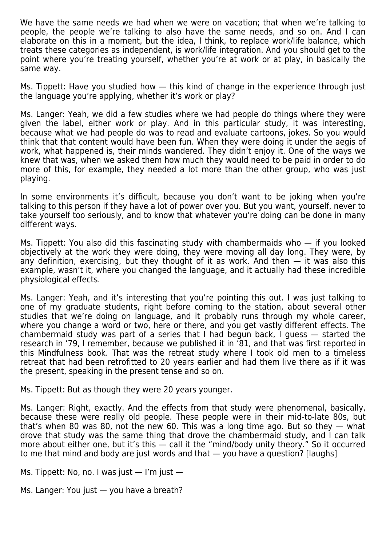We have the same needs we had when we were on vacation; that when we're talking to people, the people we're talking to also have the same needs, and so on. And I can elaborate on this in a moment, but the idea, I think, to replace work/life balance, which treats these categories as independent, is work/life integration. And you should get to the point where you're treating yourself, whether you're at work or at play, in basically the same way.

Ms. Tippett: Have you studied how — this kind of change in the experience through just the language you're applying, whether it's work or play?

Ms. Langer: Yeah, we did a few studies where we had people do things where they were given the label, either work or play. And in this particular study, it was interesting, because what we had people do was to read and evaluate cartoons, jokes. So you would think that that content would have been fun. When they were doing it under the aegis of work, what happened is, their minds wandered. They didn't enjoy it. One of the ways we knew that was, when we asked them how much they would need to be paid in order to do more of this, for example, they needed a lot more than the other group, who was just playing.

In some environments it's difficult, because you don't want to be joking when you're talking to this person if they have a lot of power over you. But you want, yourself, never to take yourself too seriously, and to know that whatever you're doing can be done in many different ways.

Ms. Tippett: You also did this fascinating study with chambermaids who — if you looked objectively at the work they were doing, they were moving all day long. They were, by any definition, exercising, but they thought of it as work. And then  $-$  it was also this example, wasn't it, where you changed the language, and it actually had these incredible physiological effects.

Ms. Langer: Yeah, and it's interesting that you're pointing this out. I was just talking to one of my graduate students, right before coming to the station, about several other studies that we're doing on language, and it probably runs through my whole career, where you change a word or two, here or there, and you get vastly different effects. The chambermaid study was part of a series that I had begun back, I guess — started the research in '79, I remember, because we published it in '81, and that was first reported in this Mindfulness book. That was the retreat study where I took old men to a timeless retreat that had been retrofitted to 20 years earlier and had them live there as if it was the present, speaking in the present tense and so on.

Ms. Tippett: But as though they were 20 years younger.

Ms. Langer: Right, exactly. And the effects from that study were phenomenal, basically, because these were really old people. These people were in their mid-to-late 80s, but that's when 80 was 80, not the new 60. This was a long time ago. But so they — what drove that study was the same thing that drove the chambermaid study, and I can talk more about either one, but it's this — call it the "mind/body unity theory." So it occurred to me that mind and body are just words and that — you have a question? [laughs]

Ms. Tippett: No, no. I was just  $-$  I'm just  $-$ 

Ms. Langer: You just — you have a breath?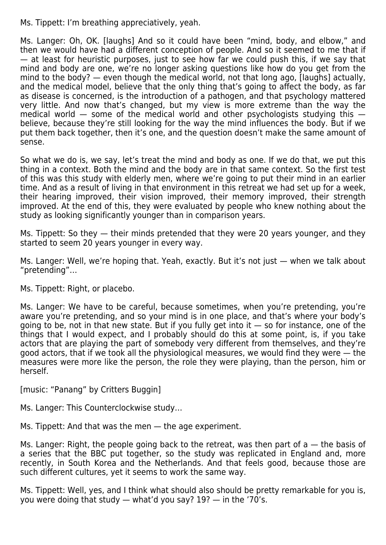Ms. Tippett: I'm breathing appreciatively, yeah.

Ms. Langer: Oh, OK. [laughs] And so it could have been "mind, body, and elbow," and then we would have had a different conception of people. And so it seemed to me that if — at least for heuristic purposes, just to see how far we could push this, if we say that mind and body are one, we're no longer asking questions like how do you get from the mind to the body? — even though the medical world, not that long ago, [laughs] actually, and the medical model, believe that the only thing that's going to affect the body, as far as disease is concerned, is the introduction of a pathogen, and that psychology mattered very little. And now that's changed, but my view is more extreme than the way the medical world  $-$  some of the medical world and other psychologists studying this  $$ believe, because they're still looking for the way the mind influences the body. But if we put them back together, then it's one, and the question doesn't make the same amount of sense.

So what we do is, we say, let's treat the mind and body as one. If we do that, we put this thing in a context. Both the mind and the body are in that same context. So the first test of this was this study with elderly men, where we're going to put their mind in an earlier time. And as a result of living in that environment in this retreat we had set up for a week, their hearing improved, their vision improved, their memory improved, their strength improved. At the end of this, they were evaluated by people who knew nothing about the study as looking significantly younger than in comparison years.

Ms. Tippett: So they — their minds pretended that they were 20 years younger, and they started to seem 20 years younger in every way.

Ms. Langer: Well, we're hoping that. Yeah, exactly. But it's not just — when we talk about "pretending"…

Ms. Tippett: Right, or placebo.

Ms. Langer: We have to be careful, because sometimes, when you're pretending, you're aware you're pretending, and so your mind is in one place, and that's where your body's going to be, not in that new state. But if you fully get into it  $-$  so for instance, one of the things that I would expect, and I probably should do this at some point, is, if you take actors that are playing the part of somebody very different from themselves, and they're good actors, that if we took all the physiological measures, we would find they were — the measures were more like the person, the role they were playing, than the person, him or herself.

[music: "Panang" by Critters Buggin]

Ms. Langer: This Counterclockwise study…

Ms. Tippett: And that was the men — the age experiment.

Ms. Langer: Right, the people going back to the retreat, was then part of  $a -$  the basis of a series that the BBC put together, so the study was replicated in England and, more recently, in South Korea and the Netherlands. And that feels good, because those are such different cultures, yet it seems to work the same way.

Ms. Tippett: Well, yes, and I think what should also should be pretty remarkable for you is, you were doing that study — what'd you say? 19? — in the '70's.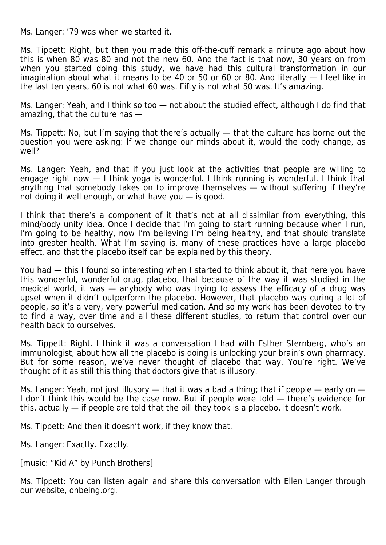Ms. Langer: '79 was when we started it.

Ms. Tippett: Right, but then you made this off-the-cuff remark a minute ago about how this is when 80 was 80 and not the new 60. And the fact is that now, 30 years on from when you started doing this study, we have had this cultural transformation in our imagination about what it means to be 40 or 50 or 60 or 80. And literally — I feel like in the last ten years, 60 is not what 60 was. Fifty is not what 50 was. It's amazing.

Ms. Langer: Yeah, and I think so too - not about the studied effect, although I do find that amazing, that the culture has —

Ms. Tippett: No, but I'm saying that there's actually — that the culture has borne out the question you were asking: If we change our minds about it, would the body change, as well?

Ms. Langer: Yeah, and that if you just look at the activities that people are willing to engage right now — I think yoga is wonderful. I think running is wonderful. I think that anything that somebody takes on to improve themselves — without suffering if they're not doing it well enough, or what have you — is good.

I think that there's a component of it that's not at all dissimilar from everything, this mind/body unity idea. Once I decide that I'm going to start running because when I run, I'm going to be healthy, now I'm believing I'm being healthy, and that should translate into greater health. What I'm saying is, many of these practices have a large placebo effect, and that the placebo itself can be explained by this theory.

You had — this I found so interesting when I started to think about it, that here you have this wonderful, wonderful drug, placebo, that because of the way it was studied in the medical world, it was — anybody who was trying to assess the efficacy of a drug was upset when it didn't outperform the placebo. However, that placebo was curing a lot of people, so it's a very, very powerful medication. And so my work has been devoted to try to find a way, over time and all these different studies, to return that control over our health back to ourselves.

Ms. Tippett: Right. I think it was a conversation I had with Esther Sternberg, who's an immunologist, about how all the placebo is doing is unlocking your brain's own pharmacy. But for some reason, we've never thought of placebo that way. You're right. We've thought of it as still this thing that doctors give that is illusory.

Ms. Langer: Yeah, not just illusory  $-$  that it was a bad a thing; that if people  $-$  early on  $-$ I don't think this would be the case now. But if people were told — there's evidence for this, actually — if people are told that the pill they took is a placebo, it doesn't work.

Ms. Tippett: And then it doesn't work, if they know that.

Ms. Langer: Exactly. Exactly.

[music: "Kid A" by Punch Brothers]

Ms. Tippett: You can listen again and share this conversation with Ellen Langer through our website, onbeing.org.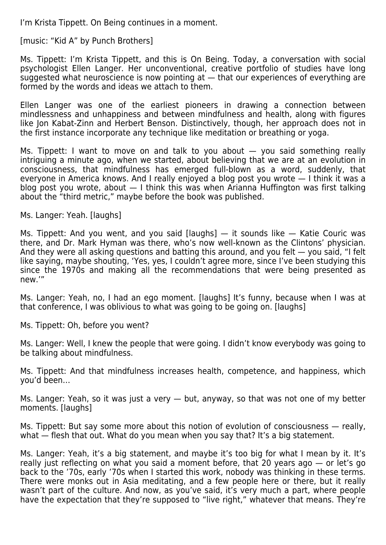I'm Krista Tippett. On Being continues in a moment.

[music: "Kid A" by Punch Brothers]

Ms. Tippett: I'm Krista Tippett, and this is On Being. Today, a conversation with social psychologist Ellen Langer. Her unconventional, creative portfolio of studies have long suggested what neuroscience is now pointing at — that our experiences of everything are formed by the words and ideas we attach to them.

Ellen Langer was one of the earliest pioneers in drawing a connection between mindlessness and unhappiness and between mindfulness and health, along with figures like Jon Kabat-Zinn and Herbert Benson. Distinctively, though, her approach does not in the first instance incorporate any technique like meditation or breathing or yoga.

Ms. Tippett: I want to move on and talk to you about — you said something really intriguing a minute ago, when we started, about believing that we are at an evolution in consciousness, that mindfulness has emerged full-blown as a word, suddenly, that everyone in America knows. And I really enjoyed a blog post you wrote — I think it was a blog post you wrote, about — I think this was when Arianna Huffington was first talking about the "third metric," maybe before the book was published.

Ms. Langer: Yeah. [laughs]

Ms. Tippett: And you went, and you said [laughs]  $-$  it sounds like  $-$  Katie Couric was there, and Dr. Mark Hyman was there, who's now well-known as the Clintons' physician. And they were all asking questions and batting this around, and you felt — you said, "I felt like saying, maybe shouting, 'Yes, yes, I couldn't agree more, since I've been studying this since the 1970s and making all the recommendations that were being presented as new.'"

Ms. Langer: Yeah, no, I had an ego moment. [laughs] It's funny, because when I was at that conference, I was oblivious to what was going to be going on. [laughs]

Ms. Tippett: Oh, before you went?

Ms. Langer: Well, I knew the people that were going. I didn't know everybody was going to be talking about mindfulness.

Ms. Tippett: And that mindfulness increases health, competence, and happiness, which you'd been…

Ms. Langer: Yeah, so it was just a very — but, anyway, so that was not one of my better moments. [laughs]

Ms. Tippett: But say some more about this notion of evolution of consciousness — really, what  $-$  flesh that out. What do you mean when you say that? It's a big statement.

Ms. Langer: Yeah, it's a big statement, and maybe it's too big for what I mean by it. It's really just reflecting on what you said a moment before, that 20 years ago — or let's go back to the '70s, early '70s when I started this work, nobody was thinking in these terms. There were monks out in Asia meditating, and a few people here or there, but it really wasn't part of the culture. And now, as you've said, it's very much a part, where people have the expectation that they're supposed to "live right," whatever that means. They're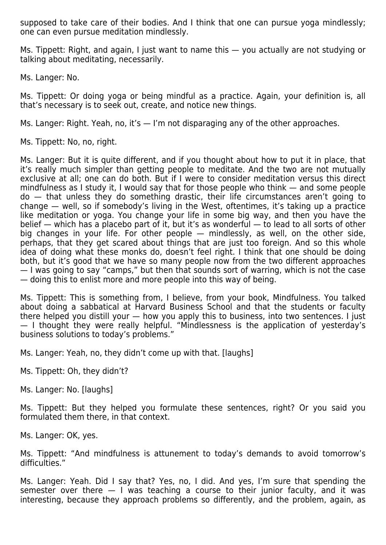supposed to take care of their bodies. And I think that one can pursue yoga mindlessly; one can even pursue meditation mindlessly.

Ms. Tippett: Right, and again, I just want to name this — you actually are not studying or talking about meditating, necessarily.

Ms. Langer: No.

Ms. Tippett: Or doing yoga or being mindful as a practice. Again, your definition is, all that's necessary is to seek out, create, and notice new things.

Ms. Langer: Right. Yeah, no, it's  $-$  I'm not disparaging any of the other approaches.

Ms. Tippett: No, no, right.

Ms. Langer: But it is quite different, and if you thought about how to put it in place, that it's really much simpler than getting people to meditate. And the two are not mutually exclusive at all; one can do both. But if I were to consider meditation versus this direct mindfulness as I study it, I would say that for those people who think — and some people do — that unless they do something drastic, their life circumstances aren't going to change — well, so if somebody's living in the West, oftentimes, it's taking up a practice like meditation or yoga. You change your life in some big way, and then you have the belief — which has a placebo part of it, but it's as wonderful — to lead to all sorts of other big changes in your life. For other people — mindlessly, as well, on the other side, perhaps, that they get scared about things that are just too foreign. And so this whole idea of doing what these monks do, doesn't feel right. I think that one should be doing both, but it's good that we have so many people now from the two different approaches — I was going to say "camps," but then that sounds sort of warring, which is not the case — doing this to enlist more and more people into this way of being.

Ms. Tippett: This is something from, I believe, from your book, Mindfulness. You talked about doing a sabbatical at Harvard Business School and that the students or faculty there helped you distill your — how you apply this to business, into two sentences. I just — I thought they were really helpful. "Mindlessness is the application of yesterday's business solutions to today's problems."

Ms. Langer: Yeah, no, they didn't come up with that. [laughs]

Ms. Tippett: Oh, they didn't?

Ms. Langer: No. [laughs]

Ms. Tippett: But they helped you formulate these sentences, right? Or you said you formulated them there, in that context.

Ms. Langer: OK, yes.

Ms. Tippett: "And mindfulness is attunement to today's demands to avoid tomorrow's difficulties."

Ms. Langer: Yeah. Did I say that? Yes, no, I did. And yes, I'm sure that spending the semester over there  $-1$  was teaching a course to their junior faculty, and it was interesting, because they approach problems so differently, and the problem, again, as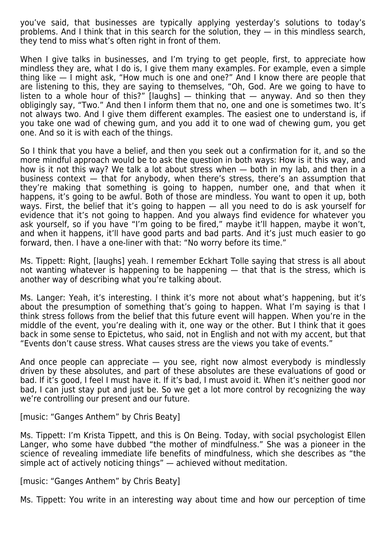you've said, that businesses are typically applying yesterday's solutions to today's problems. And I think that in this search for the solution, they  $-$  in this mindless search, they tend to miss what's often right in front of them.

When I give talks in businesses, and I'm trying to get people, first, to appreciate how mindless they are, what I do is, I give them many examples. For example, even a simple thing like — I might ask, "How much is one and one?" And I know there are people that are listening to this, they are saying to themselves, "Oh, God. Are we going to have to listen to a whole hour of this?"  $\Delta$  [laughs]  $-$  thinking that  $-$  anyway. And so then they obligingly say, "Two." And then I inform them that no, one and one is sometimes two. It's not always two. And I give them different examples. The easiest one to understand is, if you take one wad of chewing gum, and you add it to one wad of chewing gum, you get one. And so it is with each of the things.

So I think that you have a belief, and then you seek out a confirmation for it, and so the more mindful approach would be to ask the question in both ways: How is it this way, and how is it not this way? We talk a lot about stress when — both in my lab, and then in a business context — that for anybody, when there's stress, there's an assumption that they're making that something is going to happen, number one, and that when it happens, it's going to be awful. Both of those are mindless. You want to open it up, both ways. First, the belief that it's going to happen — all you need to do is ask yourself for evidence that it's not going to happen. And you always find evidence for whatever you ask yourself, so if you have "I'm going to be fired," maybe it'll happen, maybe it won't, and when it happens, it'll have good parts and bad parts. And it's just much easier to go forward, then. I have a one-liner with that: "No worry before its time."

Ms. Tippett: Right, [laughs] yeah. I remember Eckhart Tolle saying that stress is all about not wanting whatever is happening to be happening — that that is the stress, which is another way of describing what you're talking about.

Ms. Langer: Yeah, it's interesting. I think it's more not about what's happening, but it's about the presumption of something that's going to happen. What I'm saying is that I think stress follows from the belief that this future event will happen. When you're in the middle of the event, you're dealing with it, one way or the other. But I think that it goes back in some sense to Epictetus, who said, not in English and not with my accent, but that "Events don't cause stress. What causes stress are the views you take of events."

And once people can appreciate — you see, right now almost everybody is mindlessly driven by these absolutes, and part of these absolutes are these evaluations of good or bad. If it's good, I feel I must have it. If it's bad, I must avoid it. When it's neither good nor bad, I can just stay put and just be. So we get a lot more control by recognizing the way we're controlling our present and our future.

[music: "Ganges Anthem" by Chris Beaty]

Ms. Tippett: I'm Krista Tippett, and this is On Being. Today, with social psychologist Ellen Langer, who some have dubbed "the mother of mindfulness." She was a pioneer in the science of revealing immediate life benefits of mindfulness, which she describes as "the simple act of actively noticing things" — achieved without meditation.

[music: "Ganges Anthem" by Chris Beaty]

Ms. Tippett: You write in an interesting way about time and how our perception of time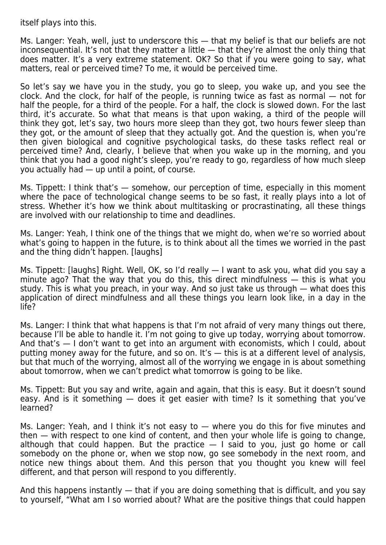itself plays into this.

Ms. Langer: Yeah, well, just to underscore this — that my belief is that our beliefs are not inconsequential. It's not that they matter a little — that they're almost the only thing that does matter. It's a very extreme statement. OK? So that if you were going to say, what matters, real or perceived time? To me, it would be perceived time.

So let's say we have you in the study, you go to sleep, you wake up, and you see the clock. And the clock, for half of the people, is running twice as fast as normal — not for half the people, for a third of the people. For a half, the clock is slowed down. For the last third, it's accurate. So what that means is that upon waking, a third of the people will think they got, let's say, two hours more sleep than they got, two hours fewer sleep than they got, or the amount of sleep that they actually got. And the question is, when you're then given biological and cognitive psychological tasks, do these tasks reflect real or perceived time? And, clearly, I believe that when you wake up in the morning, and you think that you had a good night's sleep, you're ready to go, regardless of how much sleep you actually had — up until a point, of course.

Ms. Tippett: I think that's — somehow, our perception of time, especially in this moment where the pace of technological change seems to be so fast, it really plays into a lot of stress. Whether it's how we think about multitasking or procrastinating, all these things are involved with our relationship to time and deadlines.

Ms. Langer: Yeah, I think one of the things that we might do, when we're so worried about what's going to happen in the future, is to think about all the times we worried in the past and the thing didn't happen. [laughs]

Ms. Tippett: [laughs] Right. Well, OK, so I'd really — I want to ask you, what did you say a minute ago? That the way that you do this, this direct mindfulness — this is what you study. This is what you preach, in your way. And so just take us through — what does this application of direct mindfulness and all these things you learn look like, in a day in the life?

Ms. Langer: I think that what happens is that I'm not afraid of very many things out there, because I'll be able to handle it. I'm not going to give up today, worrying about tomorrow. And that's — I don't want to get into an argument with economists, which I could, about putting money away for the future, and so on. It's — this is at a different level of analysis, but that much of the worrying, almost all of the worrying we engage in is about something about tomorrow, when we can't predict what tomorrow is going to be like.

Ms. Tippett: But you say and write, again and again, that this is easy. But it doesn't sound easy. And is it something — does it get easier with time? Is it something that you've learned?

Ms. Langer: Yeah, and I think it's not easy to  $-$  where you do this for five minutes and then — with respect to one kind of content, and then your whole life is going to change, although that could happen. But the practice — I said to you, just go home or call somebody on the phone or, when we stop now, go see somebody in the next room, and notice new things about them. And this person that you thought you knew will feel different, and that person will respond to you differently.

And this happens instantly — that if you are doing something that is difficult, and you say to yourself, "What am I so worried about? What are the positive things that could happen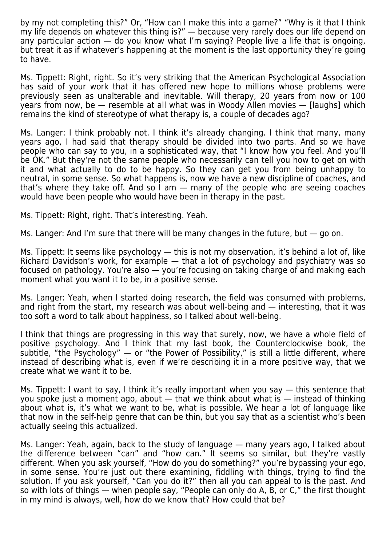by my not completing this?" Or, "How can I make this into a game?" "Why is it that I think my life depends on whatever this thing is?" — because very rarely does our life depend on any particular action — do you know what I'm saying? People live a life that is ongoing, but treat it as if whatever's happening at the moment is the last opportunity they're going to have.

Ms. Tippett: Right, right. So it's very striking that the American Psychological Association has said of your work that it has offered new hope to millions whose problems were previously seen as unalterable and inevitable. Will therapy, 20 years from now or 100 years from now, be — resemble at all what was in Woody Allen movies — [laughs] which remains the kind of stereotype of what therapy is, a couple of decades ago?

Ms. Langer: I think probably not. I think it's already changing. I think that many, many years ago, I had said that therapy should be divided into two parts. And so we have people who can say to you, in a sophisticated way, that "I know how you feel. And you'll be OK." But they're not the same people who necessarily can tell you how to get on with it and what actually to do to be happy. So they can get you from being unhappy to neutral, in some sense. So what happens is, now we have a new discipline of coaches, and that's where they take off. And so I am — many of the people who are seeing coaches would have been people who would have been in therapy in the past.

Ms. Tippett: Right, right. That's interesting. Yeah.

Ms. Langer: And I'm sure that there will be many changes in the future, but — go on.

Ms. Tippett: It seems like psychology — this is not my observation, it's behind a lot of, like Richard Davidson's work, for example — that a lot of psychology and psychiatry was so focused on pathology. You're also — you're focusing on taking charge of and making each moment what you want it to be, in a positive sense.

Ms. Langer: Yeah, when I started doing research, the field was consumed with problems, and right from the start, my research was about well-being and — interesting, that it was too soft a word to talk about happiness, so I talked about well-being.

I think that things are progressing in this way that surely, now, we have a whole field of positive psychology. And I think that my last book, the Counterclockwise book, the subtitle, "the Psychology" — or "the Power of Possibility," is still a little different, where instead of describing what is, even if we're describing it in a more positive way, that we create what we want it to be.

Ms. Tippett: I want to say, I think it's really important when you say — this sentence that you spoke just a moment ago, about — that we think about what is — instead of thinking about what is, it's what we want to be, what is possible. We hear a lot of language like that now in the self-help genre that can be thin, but you say that as a scientist who's been actually seeing this actualized.

Ms. Langer: Yeah, again, back to the study of language — many years ago, I talked about the difference between "can" and "how can." It seems so similar, but they're vastly different. When you ask yourself, "How do you do something?" you're bypassing your ego, in some sense. You're just out there examining, fiddling with things, trying to find the solution. If you ask yourself, "Can you do it?" then all you can appeal to is the past. And so with lots of things — when people say, "People can only do A, B, or C," the first thought in my mind is always, well, how do we know that? How could that be?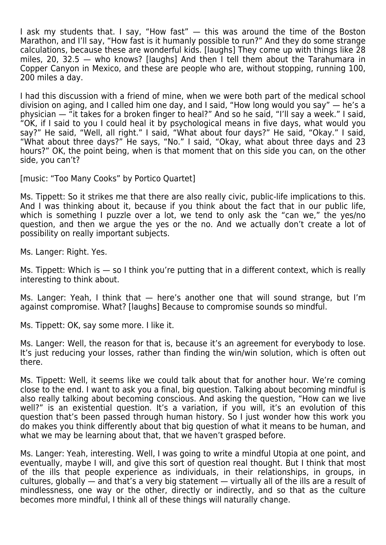I ask my students that. I say, "How fast" — this was around the time of the Boston Marathon, and I'll say, "How fast is it humanly possible to run?" And they do some strange calculations, because these are wonderful kids. [laughs] They come up with things like 28 miles, 20, 32.5 — who knows? [laughs] And then I tell them about the Tarahumara in Copper Canyon in Mexico, and these are people who are, without stopping, running 100, 200 miles a day.

I had this discussion with a friend of mine, when we were both part of the medical school division on aging, and I called him one day, and I said, "How long would you say" — he's a physician — "it takes for a broken finger to heal?" And so he said, "I'll say a week." I said, "OK, if I said to you I could heal it by psychological means in five days, what would you say?" He said, "Well, all right." I said, "What about four days?" He said, "Okay." I said, "What about three days?" He says, "No." I said, "Okay, what about three days and 23 hours?" OK, the point being, when is that moment that on this side you can, on the other side, you can't?

[music: "Too Many Cooks" by Portico Quartet]

Ms. Tippett: So it strikes me that there are also really civic, public-life implications to this. And I was thinking about it, because if you think about the fact that in our public life, which is something I puzzle over a lot, we tend to only ask the "can we," the yes/no question, and then we argue the yes or the no. And we actually don't create a lot of possibility on really important subjects.

Ms. Langer: Right. Yes.

Ms. Tippett: Which is  $-$  so I think you're putting that in a different context, which is really interesting to think about.

Ms. Langer: Yeah, I think that — here's another one that will sound strange, but I'm against compromise. What? [laughs] Because to compromise sounds so mindful.

Ms. Tippett: OK, say some more. I like it.

Ms. Langer: Well, the reason for that is, because it's an agreement for everybody to lose. It's just reducing your losses, rather than finding the win/win solution, which is often out there.

Ms. Tippett: Well, it seems like we could talk about that for another hour. We're coming close to the end. I want to ask you a final, big question. Talking about becoming mindful is also really talking about becoming conscious. And asking the question, "How can we live well?" is an existential question. It's a variation, if you will, it's an evolution of this question that's been passed through human history. So I just wonder how this work you do makes you think differently about that big question of what it means to be human, and what we may be learning about that, that we haven't grasped before.

Ms. Langer: Yeah, interesting. Well, I was going to write a mindful Utopia at one point, and eventually, maybe I will, and give this sort of question real thought. But I think that most of the ills that people experience as individuals, in their relationships, in groups, in cultures, globally — and that's a very big statement — virtually all of the ills are a result of mindlessness, one way or the other, directly or indirectly, and so that as the culture becomes more mindful, I think all of these things will naturally change.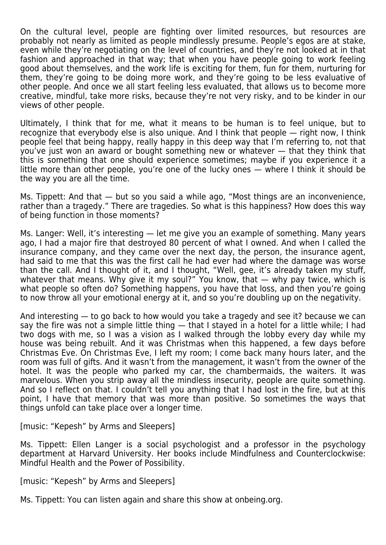On the cultural level, people are fighting over limited resources, but resources are probably not nearly as limited as people mindlessly presume. People's egos are at stake, even while they're negotiating on the level of countries, and they're not looked at in that fashion and approached in that way; that when you have people going to work feeling good about themselves, and the work life is exciting for them, fun for them, nurturing for them, they're going to be doing more work, and they're going to be less evaluative of other people. And once we all start feeling less evaluated, that allows us to become more creative, mindful, take more risks, because they're not very risky, and to be kinder in our views of other people.

Ultimately, I think that for me, what it means to be human is to feel unique, but to recognize that everybody else is also unique. And I think that people — right now, I think people feel that being happy, really happy in this deep way that I'm referring to, not that you've just won an award or bought something new or whatever — that they think that this is something that one should experience sometimes; maybe if you experience it a little more than other people, you're one of the lucky ones — where I think it should be the way you are all the time.

Ms. Tippett: And that — but so you said a while ago, "Most things are an inconvenience, rather than a tragedy." There are tragedies. So what is this happiness? How does this way of being function in those moments?

Ms. Langer: Well, it's interesting — let me give you an example of something. Many years ago, I had a major fire that destroyed 80 percent of what I owned. And when I called the insurance company, and they came over the next day, the person, the insurance agent, had said to me that this was the first call he had ever had where the damage was worse than the call. And I thought of it, and I thought, "Well, gee, it's already taken my stuff, whatever that means. Why give it my soul?" You know, that  $-$  why pay twice, which is what people so often do? Something happens, you have that loss, and then you're going to now throw all your emotional energy at it, and so you're doubling up on the negativity.

And interesting — to go back to how would you take a tragedy and see it? because we can say the fire was not a simple little thing — that I stayed in a hotel for a little while; I had two dogs with me, so I was a vision as I walked through the lobby every day while my house was being rebuilt. And it was Christmas when this happened, a few days before Christmas Eve. On Christmas Eve, I left my room; I come back many hours later, and the room was full of gifts. And it wasn't from the management, it wasn't from the owner of the hotel. It was the people who parked my car, the chambermaids, the waiters. It was marvelous. When you strip away all the mindless insecurity, people are quite something. And so I reflect on that. I couldn't tell you anything that I had lost in the fire, but at this point, I have that memory that was more than positive. So sometimes the ways that things unfold can take place over a longer time.

[music: "Kepesh" by Arms and Sleepers]

Ms. Tippett: Ellen Langer is a social psychologist and a professor in the psychology department at Harvard University. Her books include Mindfulness and Counterclockwise: Mindful Health and the Power of Possibility.

[music: "Kepesh" by Arms and Sleepers]

Ms. Tippett: You can listen again and share this show at onbeing.org.